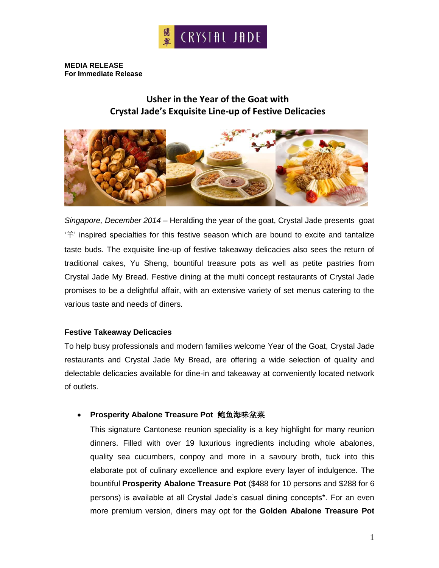

**MEDIA RELEASE For Immediate Release**

# **Usher in the Year of the Goat with Crystal Jade's Exquisite Line-up of Festive Delicacies**



*Singapore, December 2014* – Heralding the year of the goat, Crystal Jade presents goat '羊' inspired specialties for this festive season which are bound to excite and tantalize taste buds. The exquisite line-up of festive takeaway delicacies also sees the return of traditional cakes, Yu Sheng, bountiful treasure pots as well as petite pastries from Crystal Jade My Bread. Festive dining at the multi concept restaurants of Crystal Jade promises to be a delightful affair, with an extensive variety of set menus catering to the various taste and needs of diners.

#### **Festive Takeaway Delicacies**

To help busy professionals and modern families welcome Year of the Goat, Crystal Jade restaurants and Crystal Jade My Bread, are offering a wide selection of quality and delectable delicacies available for dine-in and takeaway at conveniently located network of outlets.

## **Prosperity Abalone Treasure Pot** 鲍鱼海味盆菜

This signature Cantonese reunion speciality is a key highlight for many reunion dinners. Filled with over 19 luxurious ingredients including whole abalones, quality sea cucumbers, conpoy and more in a savoury broth, tuck into this elaborate pot of culinary excellence and explore every layer of indulgence. The bountiful **Prosperity Abalone Treasure Pot** (\$488 for 10 persons and \$288 for 6 persons) is available at all Crystal Jade's casual dining concepts\*. For an even more premium version, diners may opt for the **Golden Abalone Treasure Pot**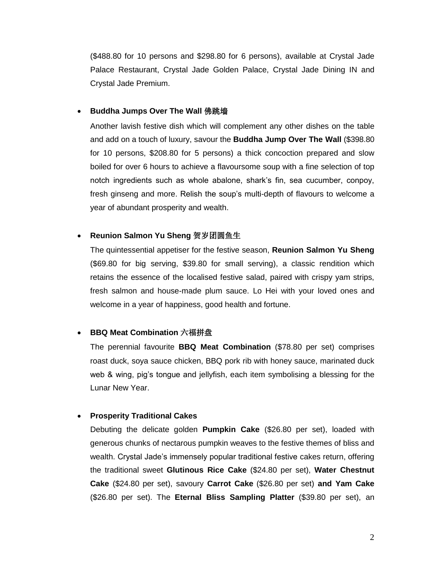(\$488.80 for 10 persons and \$298.80 for 6 persons), available at Crystal Jade Palace Restaurant, Crystal Jade Golden Palace, Crystal Jade Dining IN and Crystal Jade Premium.

#### **Buddha Jumps Over The Wall** 佛跳墙

Another lavish festive dish which will complement any other dishes on the table and add on a touch of luxury, savour the **Buddha Jump Over The Wall** (\$398.80 for 10 persons, \$208.80 for 5 persons) a thick concoction prepared and slow boiled for over 6 hours to achieve a flavoursome soup with a fine selection of top notch ingredients such as whole abalone, shark's fin, sea cucumber, conpoy, fresh ginseng and more. Relish the soup's multi-depth of flavours to welcome a year of abundant prosperity and wealth.

## **Reunion Salmon Yu Sheng** 贺岁团圆鱼生

The quintessential appetiser for the festive season, **Reunion Salmon Yu Sheng** (\$69.80 for big serving, \$39.80 for small serving), a classic rendition which retains the essence of the localised festive salad, paired with crispy yam strips, fresh salmon and house-made plum sauce. Lo Hei with your loved ones and welcome in a year of happiness, good health and fortune.

## **BBQ Meat Combination** 六福拼盘

The perennial favourite **BBQ Meat Combination** (\$78.80 per set) comprises roast duck, soya sauce chicken, BBQ pork rib with honey sauce, marinated duck web & wing, pig's tongue and jellyfish, each item symbolising a blessing for the Lunar New Year.

## **Prosperity Traditional Cakes**

Debuting the delicate golden **Pumpkin Cake** (\$26.80 per set), loaded with generous chunks of nectarous pumpkin weaves to the festive themes of bliss and wealth. Crystal Jade's immensely popular traditional festive cakes return, offering the traditional sweet **Glutinous Rice Cake** (\$24.80 per set), **Water Chestnut Cake** (\$24.80 per set), savoury **Carrot Cake** (\$26.80 per set) **and Yam Cake** (\$26.80 per set). The **Eternal Bliss Sampling Platter** (\$39.80 per set), an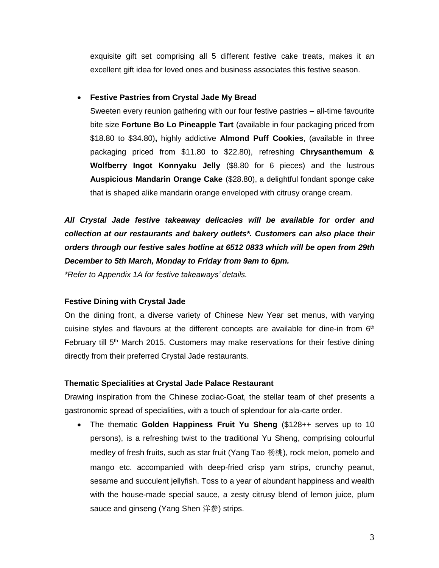exquisite gift set comprising all 5 different festive cake treats, makes it an excellent gift idea for loved ones and business associates this festive season.

## **Festive Pastries from Crystal Jade My Bread**

Sweeten every reunion gathering with our four festive pastries – all-time favourite bite size **Fortune Bo Lo Pineapple Tart** (available in four packaging priced from \$18.80 to \$34.80)**,** highly addictive **Almond Puff Cookies**, (available in three packaging priced from \$11.80 to \$22.80), refreshing **Chrysanthemum & Wolfberry Ingot Konnyaku Jelly** (\$8.80 for 6 pieces) and the lustrous **Auspicious Mandarin Orange Cake** (\$28.80), a delightful fondant sponge cake that is shaped alike mandarin orange enveloped with citrusy orange cream.

*All Crystal Jade festive takeaway delicacies will be available for order and collection at our restaurants and bakery outlets\*. Customers can also place their orders through our festive sales hotline at 6512 0833 which will be open from 29th December to 5th March, Monday to Friday from 9am to 6pm.*

*\*Refer to Appendix 1A for festive takeaways' details.*

## **Festive Dining with Crystal Jade**

On the dining front, a diverse variety of Chinese New Year set menus, with varying cuisine styles and flavours at the different concepts are available for dine-in from  $6<sup>th</sup>$ February till  $5<sup>th</sup>$  March 2015. Customers may make reservations for their festive dining directly from their preferred Crystal Jade restaurants.

## **Thematic Specialities at Crystal Jade Palace Restaurant**

Drawing inspiration from the Chinese zodiac-Goat, the stellar team of chef presents a gastronomic spread of specialities, with a touch of splendour for ala-carte order.

 The thematic **Golden Happiness Fruit Yu Sheng** (\$128++ serves up to 10 persons), is a refreshing twist to the traditional Yu Sheng, comprising colourful medley of fresh fruits, such as star fruit (Yang Tao 杨桃), rock melon, pomelo and mango etc. accompanied with deep-fried crisp yam strips, crunchy peanut, sesame and succulent jellyfish. Toss to a year of abundant happiness and wealth with the house-made special sauce, a zesty citrusy blend of lemon juice, plum sauce and ginseng (Yang Shen 洋参) strips.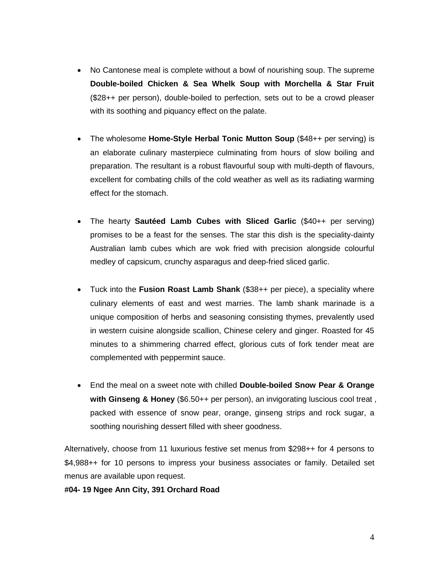- No Cantonese meal is complete without a bowl of nourishing soup. The supreme **Double-boiled Chicken & Sea Whelk Soup with Morchella & Star Fruit**  (\$28++ per person), double-boiled to perfection, sets out to be a crowd pleaser with its soothing and piquancy effect on the palate.
- The wholesome **Home-Style Herbal Tonic Mutton Soup** (\$48++ per serving) is an elaborate culinary masterpiece culminating from hours of slow boiling and preparation. The resultant is a robust flavourful soup with multi-depth of flavours, excellent for combating chills of the cold weather as well as its radiating warming effect for the stomach.
- The hearty **Sautéed Lamb Cubes with Sliced Garlic** (\$40++ per serving) promises to be a feast for the senses. The star this dish is the speciality-dainty Australian lamb cubes which are wok fried with precision alongside colourful medley of capsicum, crunchy asparagus and deep-fried sliced garlic.
- Tuck into the **Fusion Roast Lamb Shank** (\$38++ per piece), a speciality where culinary elements of east and west marries. The lamb shank marinade is a unique composition of herbs and seasoning consisting thymes, prevalently used in western cuisine alongside scallion, Chinese celery and ginger. Roasted for 45 minutes to a shimmering charred effect, glorious cuts of fork tender meat are complemented with peppermint sauce.
- End the meal on a sweet note with chilled **Double-boiled Snow Pear & Orange with Ginseng & Honey** (\$6.50++ per person), an invigorating luscious cool treat , packed with essence of snow pear, orange, ginseng strips and rock sugar, a soothing nourishing dessert filled with sheer goodness.

Alternatively, choose from 11 luxurious festive set menus from \$298++ for 4 persons to \$4,988++ for 10 persons to impress your business associates or family. Detailed set menus are available upon request.

**#04- 19 Ngee Ann City, 391 Orchard Road**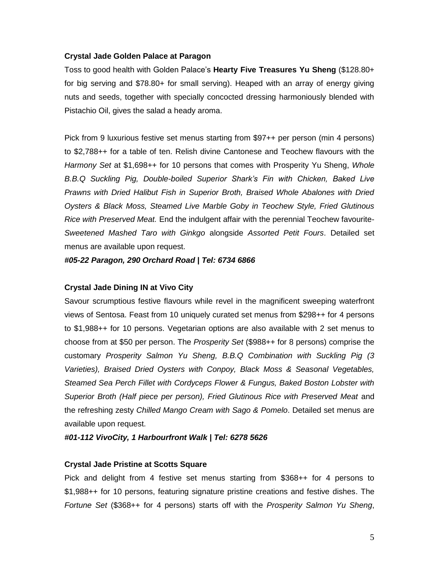#### **Crystal Jade Golden Palace at Paragon**

Toss to good health with Golden Palace's **Hearty Five Treasures Yu Sheng** (\$128.80+ for big serving and \$78.80+ for small serving). Heaped with an array of energy giving nuts and seeds, together with specially concocted dressing harmoniously blended with Pistachio Oil, gives the salad a heady aroma.

Pick from 9 luxurious festive set menus starting from \$97++ per person (min 4 persons) to \$2,788++ for a table of ten. Relish divine Cantonese and Teochew flavours with the *Harmony Set* at \$1,698++ for 10 persons that comes with Prosperity Yu Sheng, *Whole B.B.Q Suckling Pig, Double-boiled Superior Shark's Fin with Chicken, Baked Live Prawns with Dried Halibut Fish in Superior Broth, Braised Whole Abalones with Dried Oysters & Black Moss, Steamed Live Marble Goby in Teochew Style, Fried Glutinous Rice with Preserved Meat.* End the indulgent affair with the perennial Teochew favourite-*Sweetened Mashed Taro with Ginkgo* alongside *Assorted Petit Fours*. Detailed set menus are available upon request.

*#05-22 Paragon, 290 Orchard Road | Tel: 6734 6866*

#### **Crystal Jade Dining IN at Vivo City**

Savour scrumptious festive flavours while revel in the magnificent sweeping waterfront views of Sentosa. Feast from 10 uniquely curated set menus from \$298++ for 4 persons to \$1,988++ for 10 persons. Vegetarian options are also available with 2 set menus to choose from at \$50 per person. The *Prosperity Set* (\$988++ for 8 persons) comprise the customary *Prosperity Salmon Yu Sheng, B.B.Q Combination with Suckling Pig (3 Varieties), Braised Dried Oysters with Conpoy, Black Moss & Seasonal Vegetables, Steamed Sea Perch Fillet with Cordyceps Flower & Fungus, Baked Boston Lobster with Superior Broth (Half piece per person), Fried Glutinous Rice with Preserved Meat* and the refreshing zesty *Chilled Mango Cream with Sago & Pomelo*. Detailed set menus are available upon request.

*#01-112 VivoCity, 1 Harbourfront Walk | Tel: 6278 5626*

#### **Crystal Jade Pristine at Scotts Square**

Pick and delight from 4 festive set menus starting from \$368++ for 4 persons to \$1,988++ for 10 persons, featuring signature pristine creations and festive dishes. The *Fortune Set* (\$368++ for 4 persons) starts off with the *Prosperity Salmon Yu Sheng*,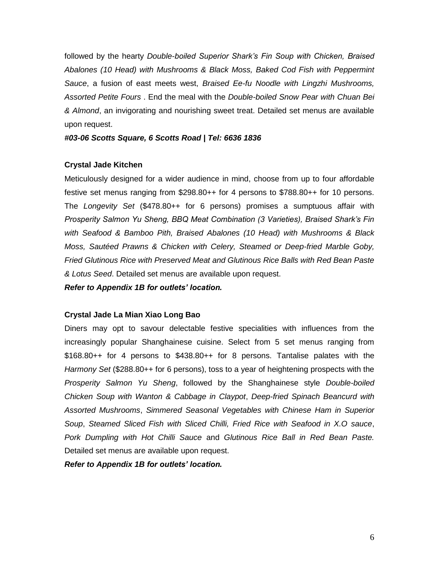followed by the hearty *Double-boiled Superior Shark's Fin Soup with Chicken, Braised Abalones (10 Head) with Mushrooms & Black Moss, Baked Cod Fish with Peppermint Sauce*, a fusion of east meets west, *Braised Ee-fu Noodle with Lingzhi Mushrooms, Assorted Petite Fours* . End the meal with the *Double-boiled Snow Pear with Chuan Bei & Almond*, an invigorating and nourishing sweet treat. Detailed set menus are available upon request.

#### *#03-06 Scotts Square, 6 Scotts Road | Tel: 6636 1836*

## **Crystal Jade Kitchen**

Meticulously designed for a wider audience in mind, choose from up to four affordable festive set menus ranging from \$298.80++ for 4 persons to \$788.80++ for 10 persons. The *Longevity Set* (\$478.80++ for 6 persons) promises a sumptuous affair with *Prosperity Salmon Yu Sheng, BBQ Meat Combination (3 Varieties), Braised Shark's Fin with Seafood & Bamboo Pith, Braised Abalones (10 Head) with Mushrooms & Black Moss, Sautéed Prawns & Chicken with Celery, Steamed or Deep-fried Marble Goby, Fried Glutinous Rice with Preserved Meat and Glutinous Rice Balls with Red Bean Paste & Lotus Seed*. Detailed set menus are available upon request.

*Refer to Appendix 1B for outlets' location.*

## **Crystal Jade La Mian Xiao Long Bao**

Diners may opt to savour delectable festive specialities with influences from the increasingly popular Shanghainese cuisine. Select from 5 set menus ranging from \$168.80++ for 4 persons to \$438.80++ for 8 persons. Tantalise palates with the *Harmony Set* (\$288.80++ for 6 persons), toss to a year of heightening prospects with the *Prosperity Salmon Yu Sheng*, followed by the Shanghainese style *Double-boiled Chicken Soup with Wanton & Cabbage in Claypot*, *Deep-fried Spinach Beancurd with Assorted Mushrooms*, *Simmered Seasonal Vegetables with Chinese Ham in Superior Soup*, *Steamed Sliced Fish with Sliced Chilli, Fried Rice with Seafood in X.O sauce*, *Pork Dumpling with Hot Chilli Sauce* and *Glutinous Rice Ball in Red Bean Paste.* Detailed set menus are available upon request.

*Refer to Appendix 1B for outlets' location.*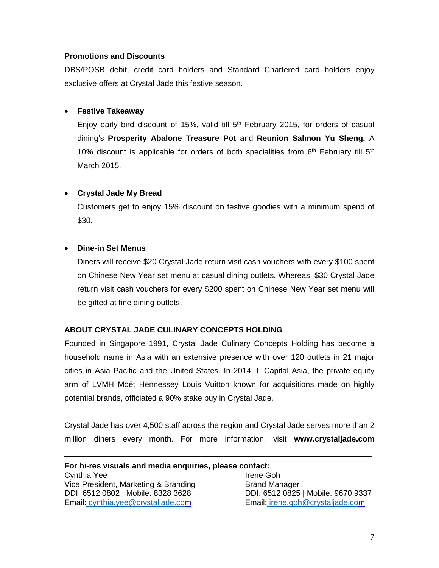## **Promotions and Discounts**

DBS/POSB debit, credit card holders and Standard Chartered card holders enjoy exclusive offers at Crystal Jade this festive season.

## **Festive Takeaway**

Enjoy early bird discount of 15%, valid till  $5<sup>th</sup>$  February 2015, for orders of casual dining's **Prosperity Abalone Treasure Pot** and **Reunion Salmon Yu Sheng.** A 10% discount is applicable for orders of both specialities from  $6<sup>th</sup>$  February till  $5<sup>th</sup>$ March 2015.

## **Crystal Jade My Bread**

Customers get to enjoy 15% discount on festive goodies with a minimum spend of \$30.

## **Dine-in Set Menus**

Diners will receive \$20 Crystal Jade return visit cash vouchers with every \$100 spent on Chinese New Year set menu at casual dining outlets. Whereas, \$30 Crystal Jade return visit cash vouchers for every \$200 spent on Chinese New Year set menu will be gifted at fine dining outlets.

## **ABOUT CRYSTAL JADE CULINARY CONCEPTS HOLDING**

Founded in Singapore 1991, Crystal Jade Culinary Concepts Holding has become a household name in Asia with an extensive presence with over 120 outlets in 21 major cities in Asia Pacific and the United States. In 2014, L Capital Asia, the private equity arm of LVMH Moët Hennessey Louis Vuitton known for acquisitions made on highly potential brands, officiated a 90% stake buy in Crystal Jade.

Crystal Jade has over 4,500 staff across the region and Crystal Jade serves more than 2 million diners every month. For more information, visit **www.crystaljade.com**

\_\_\_\_\_\_\_\_\_\_\_\_\_\_\_\_\_\_\_\_\_\_\_\_\_\_\_\_\_\_\_\_\_\_\_\_\_\_\_\_\_\_\_\_\_\_\_\_\_\_\_\_\_\_\_\_\_\_\_\_\_\_\_\_\_\_\_\_\_\_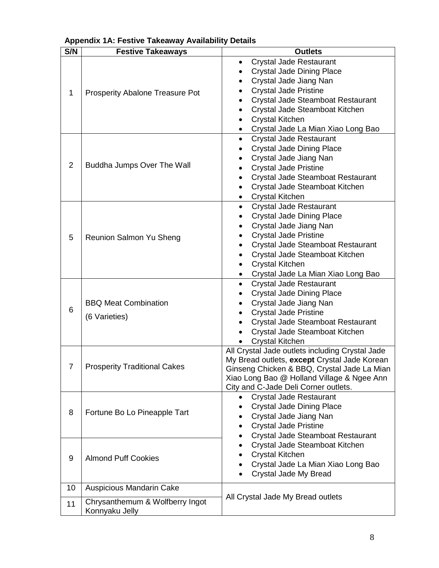| S/N            | Appendix TA. I couve Tancaway Avanability<br><b>Festive Takeaways</b> | <b>Outlets</b>                                  |
|----------------|-----------------------------------------------------------------------|-------------------------------------------------|
|                |                                                                       | <b>Crystal Jade Restaurant</b><br>$\bullet$     |
|                | Prosperity Abalone Treasure Pot                                       | <b>Crystal Jade Dining Place</b><br>$\bullet$   |
|                |                                                                       | Crystal Jade Jiang Nan                          |
|                |                                                                       | <b>Crystal Jade Pristine</b>                    |
| 1              |                                                                       |                                                 |
|                |                                                                       | Crystal Jade Steamboat Restaurant<br>$\bullet$  |
|                |                                                                       | Crystal Jade Steamboat Kitchen<br>$\bullet$     |
|                |                                                                       | <b>Crystal Kitchen</b><br>٠                     |
|                |                                                                       | Crystal Jade La Mian Xiao Long Bao<br>٠         |
|                | Buddha Jumps Over The Wall                                            | <b>Crystal Jade Restaurant</b><br>$\bullet$     |
|                |                                                                       | <b>Crystal Jade Dining Place</b><br>$\bullet$   |
|                |                                                                       | Crystal Jade Jiang Nan                          |
| $\overline{2}$ |                                                                       | <b>Crystal Jade Pristine</b><br>$\bullet$       |
|                |                                                                       | Crystal Jade Steamboat Restaurant<br>$\bullet$  |
|                |                                                                       | Crystal Jade Steamboat Kitchen<br>$\bullet$     |
|                |                                                                       | <b>Crystal Kitchen</b><br>٠                     |
|                |                                                                       | <b>Crystal Jade Restaurant</b><br>$\bullet$     |
|                |                                                                       | <b>Crystal Jade Dining Place</b><br>$\bullet$   |
|                |                                                                       | Crystal Jade Jiang Nan<br>$\bullet$             |
|                | Reunion Salmon Yu Sheng                                               | <b>Crystal Jade Pristine</b><br>$\bullet$       |
| 5              |                                                                       | Crystal Jade Steamboat Restaurant               |
|                |                                                                       | $\bullet$                                       |
|                |                                                                       | Crystal Jade Steamboat Kitchen<br>$\bullet$     |
|                |                                                                       | <b>Crystal Kitchen</b><br>$\bullet$             |
|                |                                                                       | Crystal Jade La Mian Xiao Long Bao<br>$\bullet$ |
|                |                                                                       | <b>Crystal Jade Restaurant</b><br>$\bullet$     |
|                |                                                                       | <b>Crystal Jade Dining Place</b><br>$\bullet$   |
|                | <b>BBQ Meat Combination</b>                                           | Crystal Jade Jiang Nan<br>$\bullet$             |
| 6              | (6 Varieties)                                                         | <b>Crystal Jade Pristine</b>                    |
|                |                                                                       | Crystal Jade Steamboat Restaurant               |
|                |                                                                       | Crystal Jade Steamboat Kitchen                  |
|                |                                                                       | <b>Crystal Kitchen</b>                          |
|                | <b>Prosperity Traditional Cakes</b>                                   | All Crystal Jade outlets including Crystal Jade |
|                |                                                                       | My Bread outlets, except Crystal Jade Korean    |
| 7              |                                                                       | Ginseng Chicken & BBQ, Crystal Jade La Mian     |
|                |                                                                       | Xiao Long Bao @ Holland Village & Ngee Ann      |
|                |                                                                       | City and C-Jade Deli Corner outlets.            |
|                | Fortune Bo Lo Pineapple Tart                                          | <b>Crystal Jade Restaurant</b><br>$\bullet$     |
|                |                                                                       | <b>Crystal Jade Dining Place</b><br>٠           |
| 8              |                                                                       | Crystal Jade Jiang Nan                          |
|                |                                                                       | <b>Crystal Jade Pristine</b><br>$\bullet$       |
|                |                                                                       | Crystal Jade Steamboat Restaurant<br>$\bullet$  |
|                | <b>Almond Puff Cookies</b>                                            | Crystal Jade Steamboat Kitchen<br>$\bullet$     |
|                |                                                                       | <b>Crystal Kitchen</b><br>$\bullet$             |
| 9              |                                                                       | Crystal Jade La Mian Xiao Long Bao              |
|                |                                                                       | Crystal Jade My Bread<br>$\bullet$              |
|                |                                                                       |                                                 |
| 10             | <b>Auspicious Mandarin Cake</b>                                       | All Crystal Jade My Bread outlets               |
| 11             | Chrysanthemum & Wolfberry Ingot                                       |                                                 |
|                | Konnyaku Jelly                                                        |                                                 |

# **Appendix 1A: Festive Takeaway Availability Details**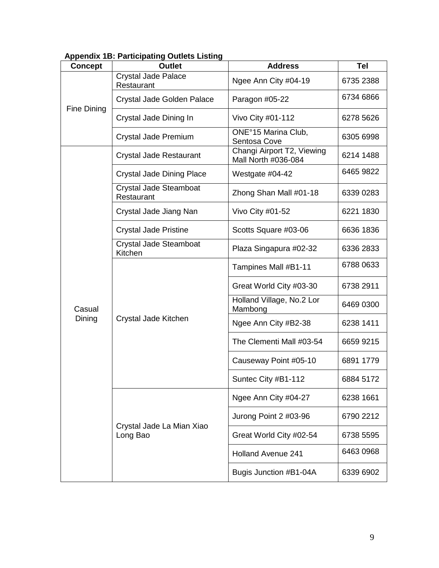| <b>Concept</b>     | <b>Outlet</b>                            | <b>Address</b>                                    | <b>Tel</b> |
|--------------------|------------------------------------------|---------------------------------------------------|------------|
|                    | <b>Crystal Jade Palace</b><br>Restaurant | Ngee Ann City #04-19                              | 6735 2388  |
|                    | Crystal Jade Golden Palace               | Paragon #05-22                                    | 6734 6866  |
| <b>Fine Dining</b> | Crystal Jade Dining In                   | Vivo City #01-112                                 | 6278 5626  |
|                    | Crystal Jade Premium                     | ONE°15 Marina Club,<br>Sentosa Cove               | 6305 6998  |
|                    | Crystal Jade Restaurant                  | Changi Airport T2, Viewing<br>Mall North #036-084 | 6214 1488  |
|                    | Crystal Jade Dining Place                | Westgate #04-42                                   | 6465 9822  |
|                    | Crystal Jade Steamboat<br>Restaurant     | Zhong Shan Mall #01-18                            | 6339 0283  |
|                    | Crystal Jade Jiang Nan                   | Vivo City #01-52                                  | 6221 1830  |
|                    | <b>Crystal Jade Pristine</b>             | Scotts Square #03-06                              | 6636 1836  |
|                    | Crystal Jade Steamboat<br>Kitchen        | Plaza Singapura #02-32                            | 6336 2833  |
|                    | Crystal Jade Kitchen                     | Tampines Mall #B1-11                              | 6788 0633  |
|                    |                                          | Great World City #03-30                           | 6738 2911  |
| Casual             |                                          | Holland Village, No.2 Lor<br>Mambong              | 6469 0300  |
| Dining             |                                          | Ngee Ann City #B2-38                              | 6238 1411  |
|                    |                                          | The Clementi Mall #03-54                          | 6659 9215  |
|                    |                                          | Causeway Point #05-10                             | 6891 1779  |
|                    |                                          | Suntec City #B1-112                               | 6884 5172  |
|                    | Crystal Jade La Mian Xiao<br>Long Bao    | Ngee Ann City #04-27                              | 6238 1661  |
|                    |                                          | Jurong Point 2 #03-96                             | 6790 2212  |
|                    |                                          | Great World City #02-54                           | 6738 5595  |
|                    |                                          | <b>Holland Avenue 241</b>                         | 6463 0968  |
|                    |                                          | Bugis Junction #B1-04A                            | 6339 6902  |

## **Appendix 1B: Participating Outlets Listing**